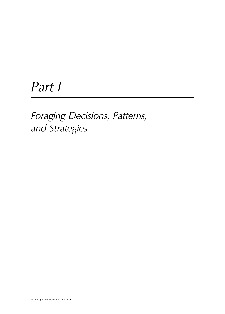# *Part I*

*Foraging Decisions, Patterns, and Strategies*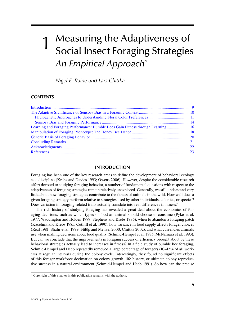## **Measuring the Adaptiveness of** Social Insect Foraging Strategies *An Empirical Approach\**

*Nigel E. Raine and Lars Chittka*

## **CONTENTS**

| Learning and Foraging Performance: Bumble Bees Gain Fitness through Learning 16 |  |
|---------------------------------------------------------------------------------|--|
|                                                                                 |  |
|                                                                                 |  |
|                                                                                 |  |
|                                                                                 |  |
|                                                                                 |  |
|                                                                                 |  |

## **INTRODUCTION**

Foraging has been one of the key research areas to define the development of behavioral ecology as a discipline (Krebs and Davies 1993; Owens 2006). However, despite the considerable research effort devoted to studying foraging behavior, a number of fundamental questions with respect to the adaptiveness of foraging strategies remain relatively unexplored. Generally, we still understand very little about how foraging strategies contribute to the fitness of animals in the wild. How well does a given foraging strategy perform relative to strategies used by other individuals, colonies, or species? Does variation in foraging-related traits actually translate into real differences in fitness?

The rich history of studying foraging has revealed a great deal about the economics of foraging decisions, such as which types of food an animal should choose to consume (Pyke et al. 1977; Waddington and Holden 1979; Stephens and Krebs 1986), when to abandon a foraging patch (Kacelnik and Krebs 1985; Cuthill et al. 1990), how variance in food supply affects forager choices (Real 1981; Shafir et al. 1999; Fülöp and Menzel 2000; Chittka 2002), and what currencies animals use when making decisions about food quality (Schmid-Hempel et al. 1985; McNamara et al. 1993). But can we conclude that the improvements in foraging success or efficiency brought about by these behavioral strategies actually lead to increases in fitness? In a field study of bumble bee foraging, Schmid-Hempel and Heeb repeatedly removed a large percentage of foragers (10–15% of all workers) at regular intervals during the colony cycle. Interestingly, they found no significant effects of this forager workforce decimation on colony growth, life history, or ultimate colony reproductive success in a natural environment (Schmid-Hempel and Heeb 1991). So how can the precise

<sup>\*</sup> Copyright of this chapter in this publication remains with the authors.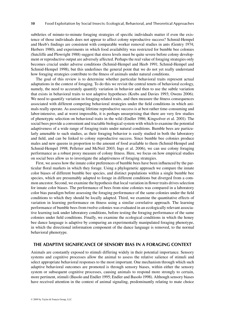<span id="page-2-0"></span>subtleties of minute-to-minute foraging strategies of specific individuals matter if even the existence of those individuals does not appear to affect colony reproductive success? Schmid-Hempel and Heeb's findings are consistent with comparable worker removal studies in ants (Gentry 1974; Herbers 1980), and experiments in which food availability was restricted for bumble bee colonies (Sutcliffe and Plowright 1988) suggest that stress levels must be quite severe before colony development or reproductive output are adversely affected. Perhaps the real value of foraging strategies only becomes crucial under adverse conditions (Schmid-Hempel and Heeb 1991; Schmid-Hempel and Schmid-Hempel 1998), but this underlines the general point that we do not yet really understand how foraging strategies contribute to the fitness of animals under natural conditions.

The goal of this review is to determine whether particular behavioral traits represent actual adaptations in the context of foraging. To do this we revisit the central tenets of behavioral ecology, namely, the need to accurately quantify variation in behavior and then to use the subtle variation that exists in behavioral traits to test adaptive hypotheses (Krebs and Davies 1993; Owens 2006). We need to quantify variation in foraging-related traits, and then measure the fitness consequences associated with different competing behavioral strategies under the field conditions in which animals really operate. As assessing lifetime reproductive success is at best rather time-consuming and labor-intensive, and at worst impossible, it is perhaps unsurprising that there are very few studies of phenotypic selection on behavioral traits in the wild (Endler 1986; Kingsolver et al. 2001). The social bees provide a convenient and tractable biological system with which to examine the potential adaptiveness of a wide range of foraging traits under natural conditions. Bumble bees are particularly amenable to such studies, as their foraging behavior is easily studied in both the laboratory and field, and can be linked to colony reproductive success. Since bumble bee colonies produce males and new queens in proportion to the amount of food available to them (Schmid-Hempel and Schmid-Hempel 1998; Pelletier and McNeil 2003; Ings et al. 2006), we can use colony foraging performance as a robust proxy measure of colony fitness. Here, we focus on how empirical studies on social bees allow us to investigate the adaptiveness of foraging strategies.

First, we assess how the innate color preferences of bumble bees have been influenced by the particular floral markets in which they forage. Using a phylogenetic approach we compare the innate color biases of different bumble bee species, and distinct populations within a single bumble bee species, which are presumably adapted to forage in different conditions but diverged from a common ancestor. Second, we examine the hypothesis that local variation in flower traits drives selection for innate color biases. The performance of bees from nine colonies was compared in a laboratory color bias paradigm before assessing the foraging performance of the same colonies under the field conditions to which they should be locally adapted. Third, we examine the quantitative effects of variation in learning performance on fitness using a similar correlative approach. The learning performance of bumble bees from twelve colonies was evaluated in an ecologically relevant associative learning task under laboratory conditions, before testing the foraging performance of the same colonies under field conditions. Finally, we examine the ecological conditions in which the honey bee dance language is adaptive by comparing an experimentally manipulated foraging phenotype, in which the directional information component of the dance language is removed, to the normal behavioral phenotype.

## **THE ADAPTIVE SIGNIFICANCE OF SENSORY BIAS IN A FORAGING CONTEXT**

Animals are constantly exposed to stimuli differing widely in their potential importance. Sensory systems and cognitive processes allow the animal to assess the relative salience of stimuli and select appropriate behavioral responses to the most important. One mechanism through which such adaptive behavioral outcomes are promoted is through sensory biases, within either the sensory system or subsequent cognitive processes, causing animals to respond more strongly to certain, more pertinent, stimuli (Basolo and Endler 1995; Endler and Basolo 1998). Although sensory biases have received attention in the context of animal signaling, predominantly relating to mate choice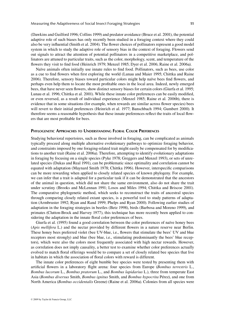<span id="page-3-0"></span>(Dawkins and Guilford 1996; Collins 1999) and predator avoidance (Bruce et al. 2001), the potential adaptive role of such biases has only recently been studied in a foraging context where they could also be very influential (Smith et al. 2004). The flower choices of pollinators represent a good model system in which to study the adaptive role of sensory bias in the context of foraging. Flowers send out signals to attract the attention of potential pollinators in a competitive marketplace, and pollinators are attuned to particular traits, such as the color, morphology, scent, and temperature of the flowers they visit to find food (Heinrich 1979; Menzel 1985; Dyer et al. 2006; Raine et al. 2006a).

Naïve animals often initially use innate rules to find food. Pollinators, such as bees, use color as a cue to find flowers when first exploring the world (Lunau and Maier 1995; Chittka and Raine 2006). Therefore, sensory biases toward particular colors might help naïve bees find flowers, and perhaps even help them to locate the most profitable ones in the local area. Indeed, newly emerged bees, that have never seen flowers, show distinct sensory biases for certain colors (Giurfa et al. 1995; Lunau et al. 1996; Chittka et al. 2001). While these innate color preferences can be easily modified, or even reversed, as a result of individual experience (Menzel 1985; Raine et al. 2006b), there is evidence that in some situations (for example, when rewards are similar across flower species) bees will revert to their initial preferences (Heinrich et al. 1977; Banschbach 1994; Gumbert 2000). It therefore seems a reasonable hypothesis that these innate preferences reflect the traits of local flowers that are most profitable for bees.

## **PHYLOGENETIC APPROACHES TO UNDERSTANDING FLORAL COLOR PREFERENCES**

Studying behavioral repertoires, such as those involved in foraging, can be complicated as animals typically proceed along multiple alternative evolutionary pathways to optimize foraging behavior, and constraints imposed by one foraging-related trait might easily be compensated for by modifications to another trait (Raine et al. 2006a). Therefore, attempting to identify evolutionary adaptations in foraging by focusing on a single species (Pyke 1978; Greggers and Menzel 1993), or sets of unrelated species (Dukas and Real 1991), can be problematic since optimality and correlation cannot be equated with adaptation (Maynard Smith 1978; Chittka 1996). However, interspecific comparisons can be more rewarding when applied to closely related species of known phylogeny. For example, we can infer that a trait is adapted for a particular task if it can be demonstrated that the ancestors of the animal in question, which did not share the same environment, also do not share the trait under scrutiny (Brooks and McLennan 1991; Losos and Miles 1994; Chittka and Briscoe 2001). The comparative phylogenetic method, which seeks to reconstruct the traits of ancestral species through comparing closely related extant species, is a powerful tool to study patterns of adaptation (Armbruster 1992; Ryan and Rand 1999; Phelps and Ryan 2000). Following earlier studies of adaptation in the foraging strategies in beetles (Betz 1998), birds (Barbosa and Moreno 1999), and primates (Clutton-Brock and Harvey 1977), this technique has more recently been applied to considering the adaptation in the innate floral color preferences of bees.

Giurfa et al. (1995) found a good correlation between the color preferences of naïve honey bees (*Apis mellifera* L.) and the nectar provided by different flowers in a nature reserve near Berlin. These honey bees preferred violet (bee UV-blue, i.e., flowers that stimulate the bees' UV and blue receptors most strongly) and blue (bee blue, i.e., stimulating predominantly the bees' blue receptors), which were also the colors most frequently associated with high nectar rewards. However, as correlation does not imply causality, a better test to examine whether color preferences actually evolved to match floral offerings would be to compare a set of closely related bee species that live in habitats in which the association of floral colors with reward is different.

The innate color preferences of eight bumble bee species were tested by presenting them with artificial flowers in a laboratory flight arena: four species from Europe (*Bombus terrestris* L., *Bombus lucorum* L., *Bombus pratorum* L., and *Bombus lapidarius* L.), three from temperate East Asia (*Bombus diversus* Smith, *Bombus ignitus* Smith, and *Bombus hypocrita* Pérez), and one from North America (*Bombus occidentalis* Greene) (Raine et al. 2006a). Colonies from all species were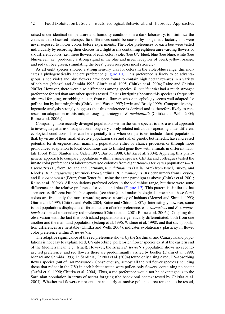raised under identical temperature and humidity conditions in a dark laboratory, to minimize the chances that observed interspecific differences could be caused by nongenetic factors, and were never exposed to flower colors before experiments. The color preferences of each bee were tested individually by recording their choices in a flight arena containing eighteen unrewarding flowers of six different colors (i.e., three flowers of each color: violet (bee UV-blue), blue (bee blue), white (bee blue-green, i.e., producing a strong signal in the blue and green receptors of bees), yellow, orange, and red (all bee green, stimulating the bees' green receptors most strongly).

As all eight species showed a strong sensory bias for colors in the violet-blue range, this indicates a phylogenetically ancient preference ([Figure 1.1\)](#page-5-0). This preference is likely to be advantageous, since violet and blue flowers have been found to contain high nectar rewards in a variety of habitats (Menzel and Shmida 1993; Giurfa et al. 1995; Chittka et al. 2004; Raine and Chittka 2007c). However, there were also differences among species. *B. occidentalis* had a much stronger preference for red than any other species tested. This is intriguing because this species is frequently observed foraging, or robbing nectar, from red flowers whose morphology seems well adapted for pollination by hummingbirds (Chittka and Waser 1997; Irwin and Brody 1999). Comparative phylogenetic analysis strongly suggests that this preference is derived and is therefore likely to represent an adaptation to this unique foraging strategy of *B. occidentalis* (Chittka and Wells 2004; Raine et al. 2006a).

Comparing more recently diverged populations within the same species is also a useful approach to investigate patterns of adaptation among very closely related individuals operating under different ecological conditions. This can be especially true when comparisons include island populations that, by virtue of their small effective population size and risk of genetic bottlenecks, have increased potential for divergence from mainland populations either by chance processes or through more pronounced adaptation to local conditions due to limited gene flow with animals in different habitats (Ford 1955; Stanton and Galen 1997; Barton 1998; Chittka et al. 2004). Applying this phylogenetic approach to compare populations within a single species, Chittka and colleagues tested the innate color preferences of laboratory-raised colonies from eight *Bombus terrestris* populations—*B. t. terrestris* (L.) from Holland and Germany, *B. t. dalmatinus* (Dalla Torre) from Israel, Turkey, and Rhodes, *B. t. sassaricus* (Tournier) from Sardinia, *B. t. xanthopus* (Kriechbaumer) from Corsica, and *B. t. canariensis* (Pérez) from Tenerife—using the same paradigm as above (Chittka et al. 2001; Raine et al. 2006a). All populations preferred colors in the violet-blue range, but there were some differences in the relative preference for violet and blue ([Figure 1.2](#page-6-0)). This pattern is similar to that seen across different bumble bee species (see above), and makes biological sense since these floral colors are frequently the most rewarding across a variety of habitats (Menzel and Shmida 1993; Giurfa et al. 1995; Chittka and Wells 2004; Raine and Chittka 2007c). Interestingly however, some island populations displayed a different pattern of color preference. *B. t. sassaricus* and *B. t. canariensis* exhibited a secondary red preference (Chittka et al. 2001; Raine et al. 2006a). Coupling this observation with the fact that both island populations are genetically differentiated, both from one another and the mainland population (Estoup et al. 1996; Widmer et al. 1998), and that such population differences are heritable (Chittka and Wells 2004), indicates evolutionary plasticity in flower color preference within *B. terrestris*.

The adaptive significance of the red preference shown by the Sardinian and Canary Island populations is not easy to explain. Red, UV-absorbing, pollen-rich flower species exist at the eastern end of the Mediterranean (e.g., Israel). However, the Israeli *B. terrestris* population shows no secondary red preference, and red flowers there are predominantly visited by beetles (Dafni et al. 1990; Menzel and Shmida 1993). In Sardinia, Chittka et al. (2004) found only a single red, UV-absorbing flower species (out of 140 measured). Conspicuously, almost all the red flower species (including those that reflect in the UV) in each habitat tested were pollen-only flowers, containing no nectar (Dafni et al. 1990; Chittka et al. 2004). Thus, a red preference would not be advantageous to the Sardinian population in terms of nectar foraging (the behavioral context tested by Chittka et al. 2004). Whether red flowers represent a particularly attractive pollen source remains to be tested,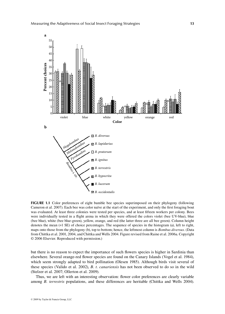<span id="page-5-0"></span>

**FIGURE 1.1** Color preferences of eight bumble bee species superimposed on their phylogeny (following Cameron et al. 2007). Each bee was color naïve at the start of the experiment, and only the first foraging bout was evaluated. At least three colonies were tested per species, and at least fifteen workers per colony. Bees were individually tested in a flight arena in which they were offered the colors violet (bee UV-blue), blue (bee blue), white (bee blue-green), yellow, orange, and red (the latter three are all bee green). Column height denotes the mean  $(+1 \text{ SE})$  of choice percentages. The sequence of species in the histogram (a), left to right, maps onto those from the phylogeny (b), top to bottom; hence, the leftmost column is *Bombus diversus*. (Data from Chittka et al. 2001, 2004, and Chittka and Wells 2004. Figure revised from Raine et al. 2006a. Copyright © 2006 Elsevier. Reproduced with permission.)

but there is no reason to expect the importance of such flowers species is higher in Sardinia than elsewhere. Several orange-red flower species are found on the Canary Islands (Vogel et al. 1984), which seem strongly adapted to bird pollination (Olesen 1985). Although birds visit several of these species (Valido et al. 2002), *B. t. canariensis* has not been observed to do so in the wild (Stelzer et al. 2007; Ollerton et al. 2009).

Thus, we are left with an interesting observation: flower color preferences are clearly variable among *B. terrestris* populations, and these differences are heritable (Chittka and Wells 2004).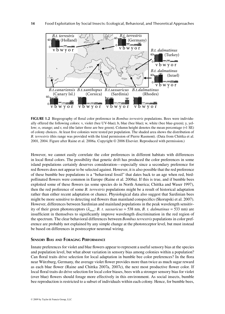<span id="page-6-0"></span>

**FIGURE 1.2** Biogeography of floral color preference in *Bombus terrestris* populations. Bees were individually offered the following colors: v, violet (bee UV-blue); b, blue (bee blue); w, white (bee blue-green); y, yellow; o, orange; and r, red (the latter three are bee green). Column height denotes the mean percentage (+1 SE) of colony choices. At least five colonies were tested per population. The shaded area shows the distribution of *B. terrestris* (this range was provided with the kind permission of Pierre Rasmont). (Data from Chittka et al. 2001, 2004. Figure after Raine et al. 2006a. Copyright © 2006 Elsevier. Reproduced with permission.)

However, we cannot easily correlate the color preferences in different habitats with differences in local floral colors. The possibility that genetic drift has produced the color preferences in some island populations certainly deserves consideration—especially since a secondary preference for red flowers does not appear to be selected against. However, it is also possible that the red preference of these bumble bee populations is a "behavioral fossil" that dates back to an age when red, birdpollinated flowers were common in Europe (Raine et al. 2006a). If this is true, and if bumble bees exploited some of these flowers (as some species do in North America; Chittka and Waser 1997), then the red preference of some *B. terrestris* populations might be a result of historical adaptation rather than either recent adaptation or chance. Physiological data also suggest that Sardinian bees might be more sensitive to detecting red flowers than mainland conspecifics (Skorupski et al. 2007). However, differences between Sardinian and mainland populations in the peak wavelength sensitivity of their green photoreceptors ( $\lambda_{\text{max}}$ : *B. t. sassaricus* = 538 nm, *B. t. dalmatinus* = 533 nm) are insufficient in themselves to significantly improve wavelength discrimination in the red region of the spectrum. The clear behavioral differences between *Bombus terrestris* populations in color preference are probably not explained by any simple change at the photoreceptor level, but must instead be based on differences in postreceptor neuronal wiring.

## **SENSORY BIAS AND FORAGING PERFORMANCE**

Innate preferences for violet and blue flowers appear to represent a useful sensory bias at the species and population level, but what about variation in sensory bias among colonies within a population? Can floral traits drive selection for local adaptation in bumble bee color preferences? In the flora near Würzburg, Germany, the average violet flower provides more than twice as much sugar reward as each blue flower (Raine and Chittka 2007a, 2007c), the next most productive flower color. If local floral traits do drive selection for local color biases, bees with a stronger sensory bias for violet (over blue) flowers should forage more effectively in this environment. As social insects, bumble bee reproduction is restricted to a subset of individuals within each colony. Hence, for bumble bees,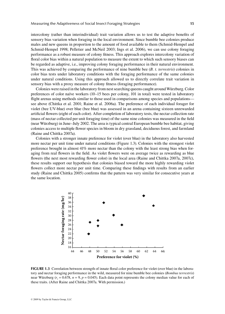intercolony (rather than interindividual) trait variation allows us to test the adaptive benefits of sensory bias variation when foraging in the local environment. Since bumble bee colonies produce males and new queens in proportion to the amount of food available to them (Schmid-Hempel and Schmid-Hempel 1998; Pelletier and McNeil 2003; Ings et al. 2006), we can use colony foraging performance as a robust measure of colony fitness. This approach explores intercolony variation of floral color bias within a natural population to measure the extent to which such sensory biases can be regarded as adaptive, i.e., improving colony foraging performance in their natural environment. This was achieved by comparing the performance of nine bumble bee (*B. t. terrestris*) colonies in color bias tests under laboratory conditions with the foraging performance of the same colonies under natural conditions. Using this approach allowed us to directly correlate trait variation in sensory bias with a proxy measure of colony fitness (foraging performance).

Colonies were raised in the laboratory from nest searching queens caught around Würzburg. Color preferences of color naïve workers (10–15 bees per colony, 101 in total) were tested in laboratory flight arenas using methods similar to those used in comparisons among species and populations see above (Chittka et al. 2001; Raine et al. 2006a). The preference of each individual forager for violet (bee UV-blue) over blue (bee blue) was assessed in an arena containing sixteen unrewarded artificial flowers (eight of each color). After completion of laboratory tests, the nectar collection rate (mass of nectar collected per unit foraging time) of the same nine colonies was measured in the field (near Würzburg) in June–July 2002. The area is typical central European bumble bee habitat, giving colonies access to multiple flower species in bloom in dry grassland, deciduous forest, and farmland (Raine and Chittka 2007a).

Colonies with a stronger innate preference for violet (over blue) in the laboratory also harvested more nectar per unit time under natural conditions (Figure 1.3). Colonies with the strongest violet preference brought in almost 41% more nectar than the colony with the least strong bias when foraging from real flowers in the field. As violet flowers were on average twice as rewarding as blue flowers (the next most rewarding flower color) in the local area (Raine and Chittka 2007a, 2007c), these results support our hypothesis that colonies biased toward the more highly rewarding violet flowers collect more nectar per unit time. Comparing these findings with results from an earlier study (Raine and Chittka 2005) confirms that the pattern was very similar for consecutive years at the same location.



**FIGURE 1.3** Correlation between strength of innate floral color preference for violet (over blue) in the laboratory and nectar foraging performance in the wild, measured for nine bumble bee colonies (*Bombus terrestris*) near Würzburg ( $r_s = 0.678$ ,  $n = 9$ ,  $p = 0.045$ ). Each data point represents the colony median value for each of these traits. (After Raine and Chittka 2007a. With permission.)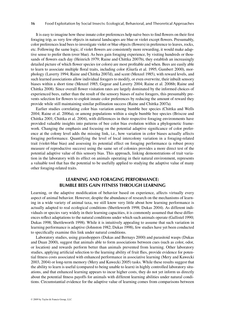<span id="page-8-0"></span>It is easy to imagine how these innate color preferences help naïve bees to find flowers on their first foraging trip, as very few objects in natural landscapes are blue or violet except flowers. Presumably, color preferences lead bees to investigate violet or blue objects (flowers) in preference to leaves, rocks, etc. Following the same logic, if violet flowers are consistently more rewarding, it would make adaptive sense to prefer them (over blue). As bees gain foraging experience, by visiting hundreds or thousands of flowers each day (Heinrich 1979; Raine and Chittka 2007b), they establish an increasingly detailed picture of which flower species (or colors) are most profitable and when. Bees are easily able to learn to associate multiple floral traits, including color (Giurfa et al. 1995; Gumbert 2000), morphology (Laverty 1994; Raine and Chittka 2007d), and scent (Menzel 1985), with reward levels, and such learned associations allow individual foragers to modify, or even overwrite, their inbuilt sensory biases within a short time (Menzel 1985; Gegear and Laverty 2004; Raine et al. 2006b; Raine and Chittka 2008). Since overall flower visitation rates are largely dominated by the informed choices of experienced bees, rather than the result of the sensory biases of naïve foragers, this presumably prevents selection for flowers to exploit innate color preferences by reducing the amount of reward they provide while still maintaining similar pollination success (Raine and Chittka 2007a).

Earlier studies correlating color bias variation among bumble bee species (Chittka and Wells 2004; Raine et al. 2006a), or among populations within a single bumble bee species (Briscoe and Chittka 2001; Chittka et al. 2004), with differences in their respective foraging environments have provided valuable insights into patterns of bee color bias evolution within a phylogenetic framework. Changing the emphasis and focusing on the potential adaptive significance of color preference at the colony level adds the missing link, i.e., how variation in color biases actually affects foraging performance. Quantifying the level of local intercolony variation in a foraging-related trait (violet-blue bias) and assessing its potential effect on foraging performance (a robust proxy measure of reproductive success) using the same set of colonies provides a more direct test of the potential adaptive value of this sensory bias. This approach, linking demonstrations of trait variation in the laboratory with its effect on animals operating in their natural environment, represents a valuable tool that has the potential to be usefully applied to studying the adaptive value of many other foraging-related traits.

## **LEARNING AND FORAGING PERFORMANCE: BUMBLE BEES GAIN FITNESS THROUGH LEARNING**

Learning, or the adaptive modification of behavior based on experience, affects virtually every aspect of animal behavior. However, despite the abundance of research on the mechanisms of learning in a wide variety of animal taxa, we still know very little about how learning performance is actually adapted to real ecological conditions (Shettleworth 1998; Dukas 2004). As different individuals or species vary widely in their learning capacities, it is commonly assumed that these differences reflect adaptations to the natural conditions under which such animals operate (Gallistel 1990; Dukas 1998; Shettleworth 1998). While it is intuitively appealing to assume that such variation in learning performance is adaptive (Johnston 1982; Dukas 1998), few studies have yet been conducted to specifically examine this link under natural conditions.

Laboratory studies, using grasshoppers (Dukas and Bernays 2000) and parasitoid wasps (Dukas and Duan 2000), suggest that animals able to form associations between cues (such as color, odor, or location) and rewards perform better than animals prevented from learning. Other laboratory studies, applying artificial selection to the learning ability of fruit flies, provide evidence for potential fitness costs associated with enhanced performance in associative learning (Mery and Kawecki 2003, 2004) or long-term memory (Mery and Kawecki 2005) tasks. While these results suggest that the ability to learn is useful (compared to being unable to learn) in highly controlled laboratory situations, and that enhanced learning appears to incur higher costs, they do not yet inform us directly about the potential fitness payoffs for animals with different learning abilities under natural conditions. Circumstantial evidence for the adaptive value of learning comes from comparisons between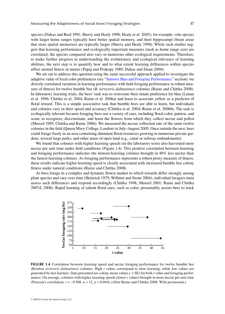species (Dukas and Real 1991; Sherry and Healy 1998; Healy et al. 2005); for example, vole species with larger home ranges typically have better spatial memory, and their hippocampi (brain areas that store spatial memories) are typically larger (Sherry and Healy 1998). While such studies suggest that learning performance and ecologically important measures (such as home range size) are correlated, the species compared also vary in numerous other ecological requirements. Therefore, to make further progress in understanding the evolutionary and ecological relevance of learning abilities, the next step is to quantify how and to what extent learning differences within species affect animal fitness in nature (Papaj and Prokopy 1989; Dukas and Duan 2000).

We set out to address this question using the same successful approach applied to investigate the adaptive value of local color preferences (see "[Sensory Bias and Foraging Performance](#page-6-0)" section): we directly correlated variation in learning performance with field foraging performance (a robust measure of fitness) for twelve bumble bee (*B. terrestris dalmatinus*) colonies (Raine and Chittka 2008). In laboratory learning trials, the bees' task was to overcome their innate preference for blue (Lunau et al. 1996; Chittka et al. 2004; Raine et al. 2006a) and learn to associate yellow as a predictor of floral reward. This is a simple associative task that bumble bees are able to learn, but individuals and colonies vary in their speed and accuracy (Chittka et al. 2004; Raine et al. 2006b). The task is ecologically relevant because foraging bees use a variety of cues, including floral color, pattern, and scent, to recognize, discriminate, and learn the flowers from which they collect nectar and pollen (Menzel 1985; Chittka and Raine 2006). We measured the nectar collection rate of the same twelve colonies in the field (Queen Mary College, London) in July–August 2005. Once outside the nest, bees could forage freely in an area containing abundant floral resources growing in numerous private gardens, several large parks, and other areas of open land (e.g., canal or railway embankments).

We found that colonies with higher learning speeds (in the laboratory tests) also harvested more nectar per unit time under field conditions (Figure 1.4). This positive correlation between learning and foraging performance indicates the slowest-learning colonies brought in 40% less nectar than the fastest-learning colonies. As foraging performance represents a robust proxy measure of fitness, these results indicate higher learning speed is closely associated with increased bumble bee colony fitness under natural conditions (Raine and Chittka 2008).

As bees forage in a complex and dynamic flower market in which rewards differ strongly among plant species and vary over time (Heinrich 1979; Willmer and Stone 2004), individual foragers must assess such differences and respond accordingly (Chittka 1998; Menzel 2001; Raine and Chittka 2007d, 2008). Rapid learning of salient floral cues, such as color, presumably assists bees to track



**FIGURE 1.4** Correlation between learning speed and nectar foraging performance for twelve bumble bee (*Bombus terrestris dalmatinus*) colonies. High *t* values correspond to slow learning, while low values are generated by fast learners. Data presented are colony mean values (–1 SE) for both *t* value and foraging performance. On average, colonies with higher learning speeds (lower *t* values) brought in more nectar per unit time (Pearson's correlation:  $r = -0.588$ ,  $n = 12$ ,  $p = 0.044$ ). (After Raine and Chittka 2008. With permission.)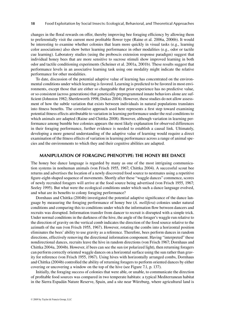<span id="page-10-0"></span>changes in the floral rewards on offer, thereby improving bee foraging efficiency by allowing them to preferentially visit the current most profitable flower type (Raine et al. 2006a, 2006b). It would be interesting to examine whether colonies that learn more quickly in visual tasks (e.g., learning color associations) also show better learning performance in other modalities (e.g., odor or tactile cue learning). Laboratory studies (using the proboscis extension response paradigm) suggest that individual honey bees that are more sensitive to sucrose stimuli show improved learning in both odor and tactile conditioning experiments (Scheiner et al. 2001a, 2001b). These results suggest that performance levels in an associative learning task using one modality might indicate the relative performance for other modalities.

To date, discussion of the potential adaptive value of learning has concentrated on the environmental conditions under which learning is favored. Learning is predicted to be favored in most environments, except those that are either so changeable that prior experience has no predictive value, or so consistent (across generations) that genetically preprogrammed innate behaviors alone are sufficient (Johnston 1982; Shettleworth 1998; Dukas 2004). However, these studies do not allow assessment of how the subtle variation that exists between individuals in natural populations translates into fitness benefits. The correlative approach used here represents a first step toward examining potential fitness effects attributable to variation in learning performance under the real conditions to which animals are adapted (Raine and Chittka 2008). However, although variation in learning performance among bumble bee colonies appears the most likely explanation for observed differences in their foraging performance, further evidence is needed to establish a causal link. Ultimately, developing a more general understanding of the adaptive value of learning would require a direct examination of the fitness effects of variation in learning performance across a range of animal species and the environments to which they and their cognitive abilities are adapted.

## **MANIPULATION OF FORAGING PHENOTYPE: THE HONEY BEE DANCE**

The honey bee dance language is regarded by many as one of the most intriguing communication systems in nonhuman animals (von Frisch 1955, 1967; Chittka 2004). A successful scout bee returns and advertises the location of a newly discovered food source to nestmates using a repetitive figure-eight-shaped sequence of movements. Shortly after these "waggle dances" commence, scores of newly recruited foragers will arrive at the food source being advertised (von Frisch 1955, 1967; Seeley 1995). But what were the ecological conditions under which such a dance language evolved, and what are its benefits to colony foraging performance?

Dornhaus and Chittka (2004b) investigated the potential adaptive significance of the dance language by measuring the foraging performance of honey bee (*A. mellifera*) colonies under natural conditions and comparing this to conditions under which the information flow between dancers and recruits was disrupted. Information transfer from dancer to recruit is disrupted with a simple trick. Under normal conditions in the darkness of the hive, the angle of the forager's waggle run relative to the direction of gravity on the vertical comb indicates the direction of the food source relative to the azimuth of the sun (von Frisch 1955, 1967). However, rotating the combs into a horizontal position eliminates the bees' ability to use gravity as a reference. Therefore, bees perform dances in random directions, effectively removing the directional information component. Having "interpreted" these nondirectional dances, recruits leave the hive in random directions (von Frisch 1967; Dornhaus and Chittka 2004a, 2004b). However, if bees can see the sun (or polarized light), then returning foragers can perform correctly oriented waggle dances on a horizontal surface using the sun rather than gravity for reference (von Frisch 1955, 1967). Using hives with horizontally arranged combs, Dornhaus and Chittka (2004b) controlled the ability of returning foragers to perform oriented dances by either covering or uncovering a window on the top of the hive (see Figure 7.1, p. 137).

Initially, the foraging success of colonies that were able, or unable, to communicate the direction of profitable food sources was compared in two temperate habitats: a typical Mediterranean habitat in the Sierra Espadán Nature Reserve, Spain, and a site near Würzburg, where agricultural land is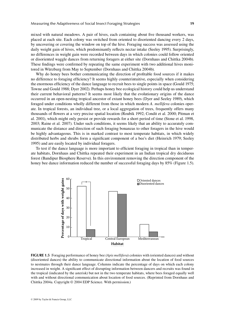mixed with natural meadows. A pair of hives, each containing about five thousand workers, was placed at each site. Each colony was switched from oriented to disoriented dancing every 2 days, by uncovering or covering the window on top of the hive. Foraging success was assessed using the daily weight gain of hives, which predominantly reflects nectar intake (Seeley 1995). Surprisingly, no differences in weight gain were recorded between days in which colonies could follow oriented or disoriented waggle dances from returning foragers at either site (Dornhaus and Chittka 2004b). These findings were confirmed by repeating the same experiment with two additional hives monitored in Würzburg from May to September (Dornhaus and Chittka 2004b).

Why do honey bees bother communicating the direction of profitable food sources if it makes no difference to foraging efficiency? It seems highly counterintuitive, especially when considering the enormous efficiency of the dance language to recruit bees to single points in space (Gould 1975; Towne and Gould 1988; Dyer 2002). Perhaps honey bee ecological history could help us understand their current behavioral patterns? It seems most likely that the evolutionary origins of the dance occurred in an open-nesting tropical ancestor of extant honey bees (Dyer and Seeley 1989), which foraged under conditions wholly different from those in which modern *A. mellifera* colonies operate. In tropical forests, an individual tree, or a local aggregation of trees, frequently offers many thousands of flowers at a very precise spatial location (Roubik 1992; Condit et al. 2000; Pitman et al. 2001), which might only persist or provide rewards for a short period of time (Stone et al. 1998, 2003; Raine et al. 2007). Under such conditions, it seems likely that an ability to accurately communicate the distance and direction of such foraging bonanzas to other foragers in the hive would be highly advantageous. This is in marked contrast to most temperate habitats, in which widely distributed herbs and shrubs form a significant component of a bee's diet (Heinrich 1979; Seeley 1995) and are easily located by individual foragers.

To test if the dance language is more important to efficient foraging in tropical than in temperate habitats, Dornhaus and Chittka repeated their experiment in an Indian tropical dry deciduous forest (Bandipur Biosphere Reserve). In this environment removing the direction component of the honey bee dance information reduced the number of successful foraging days by 85% (Figure 1.5).



**FIGURE 1.5** Foraging performance of honey bee *(Apis mellifera*) colonies with (oriented dances) and without (disoriented dances) the ability to communicate directional information about the location of food sources to nestmates through their dance language. Columns indicate the percentage of days on which each colony increased in weight. A significant effect of disrupting information between dancers and recruits was found in the tropical (indicated by the asterisk) but not in the two temperate habitats, where bees foraged equally well with and without directional communication about location of food sources. (Reprinted from Dornhaus and Chittka 2004a. Copyright © 2004 EDP Science. With permission.)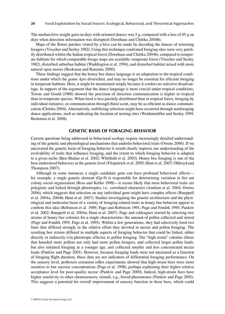The median hive weight gain on days with oriented dances was 5 g, compared with a loss of 65 g on days when direction information was disrupted (Dornhaus and Chittka 2004b).

Maps of the flower patches visited by a hive can be made by decoding the dances of returning foragers (Visscher and Seeley 1982). Using this technique confirmed foraging sites were very patchily distributed within the Indian tropical forest (Dornhaus and Chittka 2004b), compared to temperate habitats for which comparable forage maps are available: temperate forest (Visscher and Seeley 1982), disturbed suburban habitat (Waddington et al. 1994), and disturbed habitat mixed with more natural open moors (Beekman and Ratnieks 2000).

These findings suggest that the honey bee dance language is an adaptation to the tropical conditions under which the genus *Apis* diversified, and may no longer be essential for efficient foraging in temperate habitats. Here, it might be maintained simply because it confers no selective disadvantage. In support of the argument that the dance language is more crucial under tropical conditions, Towne and Gould (1988) showed the precision of direction communication is higher in tropical than in temperate species. When food is less patchily distributed than in tropical forest, foraging by individual initiative, or communication through floral scent, may be as efficient as dance communication (Chittka 2004). Alternatively, stabilizing selection might have occurred through nonforaging dance applications, such as indicating the location of nesting sites (Weidenmüller and Seeley 1999; Beekman et al. 2008).

## **GENETIC BASIS OF FORAGING BEHAVIOR**

Current questions being addressed in behavioral ecology require increasingly detailed understanding of the genetic and physiological mechanisms that underlie behavioral traits (Owens 2006). If we uncovered the genetic basis of foraging behavior it would clearly improve our understanding of the evolvability of traits that influence foraging, and the extent to which foraging behavior is adapted to a given niche (Ben-Shahar et al. 2002; Whitfield et al. 2003). Honey bee foraging is one of the best-understood behaviors at the genetic level (Fitzpatrick et al. 2005; Hunt et al. 2007; Oldroyd and Thompson 2007).

Although in some instances a single candidate gene can have profound behavioral effects for example, a single genetic element (Gp-9) is responsible for determining variation in fire ant colony social organization (Ross and Keller 1998)—it seems likely that most behavioral traits are polygenic and linked through pleiotropies, i.e., correlated characters (Amdam et al. 2004; Owens 2006), which suggests that selection on any individual gene might have complex effects (Rueppell et al. 2004a, 2004b; Hunt et al. 2007). Studies investigating the genetic architecture and the physiological and molecular basis of a variety of foraging-related traits in honey bee behavior appear to confirm this idea (Robinson et al. 1989; Page and Robinson 1991; Page and Fondrk 1995; Pankiw et al. 2002; Rueppell et al. 2004a; Hunt et al. 2007). Page and colleagues started by selecting two strains of honey bee colonies for a single characteristic: the amount of pollen collected and stored (Page and Fondrk 1995; Page et al. 1995). Within a few generations, they had selectively bred two lines that differed strongly in the relative effort they devoted to nectar and pollen foraging. The resulting bee strains differed in multiple aspects of foraging behavior that could be linked, either directly or indirectly (via pleiotropic effects), to pollen foraging. The "high strain" colonies (those that hoarded more pollen) not only had more pollen foragers, and collected larger pollen loads, but also initiated foraging at a younger age, and collected smaller and less concentrated nectar loads (Pankiw and Page 2001). However, because foraging loads were not measured as a function of foraging flight duration, these data are not indicators of differential foraging performance. On the sensory level, proboscis extension reflex experiments showed that high-strain bees were more sensitive to low sucrose concentrations (Page et al. 1998), perhaps explaining their higher relative acceptance level for poor-quality nectar (Pankiw and Page 2000). Indeed, high-strain bees have higher sensitivity to other chemosensory stimuli, e.g., brood pheromones (Pankiw and Page 2001). This suggests a potential for overall improvement of sensory function in these bees, which could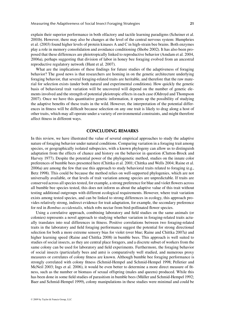<span id="page-13-0"></span>explain their superior performance in both olfactory and tactile learning paradigms (Scheiner et al. 2001b). However, there may also be changes at the level of the central nervous system: Humphries et al. (2003) found higher levels of protein kinases A and C in high-strain bee brains. Both enzymes play a role in memory consolidation and avoidance conditioning (Shobe 2002). It has also been proposed that these differences are pleiotropically linked to reproductive behavior (Amdam et al. 2004, 2006a), perhaps suggesting that division of labor in honey bee foraging evolved from an ancestral reproductive regulatory network (Hunt et al. 2007).

What are the implications of these findings for future studies of the adaptiveness of foraging behavior? The good news is that researchers are homing in on the genetic architecture underlying foraging behavior, that several foraging-related traits are heritable, and therefore that the raw material for selection exists (under both natural and experimental conditions). How quickly the genetic basis of behavioral trait variation will be uncovered will depend on the number of genetic elements involved and the strength of potential pleiotropic effects in each case (Oldroyd and Thompson 2007). Once we have this quantitative genetic information, it opens up the possibility of studying the adaptive benefits of these traits in the wild. However, the interpretation of the potential differences in fitness will be difficult because selection on any one trait is likely to drag along a host of other traits, which may all operate under a variety of environmental constraints, and might therefore affect fitness in different ways.

## **CONCLUDING REMARKS**

In this review, we have illustrated the value of several empirical approaches to study the adaptive nature of foraging behavior under natural conditions. Comparing variation in a foraging trait among species, or geographically isolated subspecies, with a known phylogeny can allow us to distinguish adaptation from the effects of chance and history on the behavior in question (Clutton-Brock and Harvey 1977). Despite the potential power of the phylogenetic method, studies on the innate color preferences of bumble bees presented here (Chittka et al. 2001; Chittka and Wells 2004; Raine et al. 2006a) are among the few that use this approach to study behavioral traits related to foraging (e.g., Betz 1998). This could be because the method relies on well-supported phylogenies, which are not universally available, or that levels of trait variation among species are unpredictable. If traits are conserved across all species tested, for example, a strong preference for blue and violet flowers across all bumble bee species tested, this does not inform us about the adaptive value of this trait without testing additional outgroups with different ecological requirements. However, where trait variation exists among tested species, and can be linked to strong differences in ecology, this approach provides relatively strong, indirect evidence for trait adaptation, for example, the secondary preference for red in *Bombus occidentalis*, which robs nectar from bird-pollinated flower species.

Using a correlative approach, combining laboratory and field studies on the same animals (or colonies) represents a novel approach to studying whether variation in foraging-related traits actually translates into real differences in fitness. Positive correlations between two foraging-related traits in the laboratory and field foraging performance suggest the potential for strong directional selection for both a more extreme sensory bias for violet (over blue; Raine and Chittka 2007a) and higher learning speed (Raine and Chittka 2008) in bumble bees. This approach is well suited to studies of social insects, as they are central place foragers, and a discrete subset of workers from the same colony can be used for laboratory and field experiments. Furthermore, the foraging behavior of social insects (particularly bees and ants) is comparatively well studied, and numerous proxy measures or correlates of colony fitness are known. Although bumble bee foraging performance is strongly correlated with colony fitness (Schmid-Hempel and Schmid-Hempel 1998; Pelletier and McNeil 2003; Ings et al. 2006), it would be even better to determine a more direct measure of fitness, such as the number or biomass of sexual offspring (males and queens) produced. While this has been done in some field studies of parasitism in bumble bees (Müller and Schmid-Hempel 1992; Baer and Schmid-Hempel 1999), colony manipulations in these studies were minimal and could be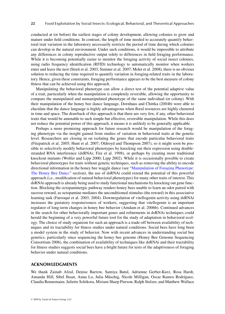<span id="page-14-0"></span>conducted at (or before) the earliest stages of colony development, allowing colonies to grow and mature under field conditions. In contrast, the length of time needed to accurately quantify behavioral trait variation in the laboratory necessarily restricts the period of time during which colonies can develop in the natural environment. Under such conditions, it would be impossible to attribute any differences in colony reproductive output solely to differences in field foraging performance. While it is becoming potentially easier to monitor the foraging activity of social insect colonies, using radio frequency identification (RFID) technology to automatically monitor when workers enter and leave the nest (Streit et al. 2003; Sumner et al. 2007; Molet et al. 2008), there is no obvious solution to reducing the time required to quantify variation in foraging-related traits in the laboratory. Hence, given these constraints, foraging performance appears to be the best measure of colony fitness that can be achieved using this approach.

Manipulating the behavioral phenotype can allow a direct test of the potential adaptive value of a trait, particularly when the manipulation is completely reversible, allowing the opportunity to compare the manipulated and unmanipulated phenotype of the same individual (or colony). With their manipulation of the honey bee dance language, Dornhaus and Chittka (2004b) were able to elucidate that the dance language is highly advantageous when floral resources are highly clustered in time and space. The drawback of this approach is that there are very few, if any, other behavioral traits that would be amenable to such simple but effective, reversible manipulation. While this does not reduce the potential power of this approach, it means it is unlikely to be generally applicable.

Perhaps a more promising approach for future research would be manipulation of the foraging phenotype via the insight gained from studies of variation in behavioral traits at the genetic level. Researchers are closing in on isolating the genes that encode particular behavioral traits (Fitzpatrick et al. 2005; Hunt et al. 2007; Oldroyd and Thompson 2007), so it might soon be possible to selectively modify behavioral phenotypes by knocking out their expression using doublestranded RNA interference (dsRNAi; Fire et al. 1998), or perhaps by creating more traditional knockout mutants (Wolfer and Lipp 2000; Lipp 2002). While it is occasionally possible to create behavioral phenotypes for traits without genetic techniques, such as removing the ability to encode directional information in the honey bee waggle dance (see "[Manipulation of Foraging Phenotype:](#page--1-0)  [The Honey Bee Dance](#page--1-0)" section), the use of dsRNAi could extend the potential of this powerful approach (i.e., modification of natural behavioral phenotypes) for many other traits of interest. This dsRNAi approach is already being used to study functional mechanisms by knocking out gene function. Blocking the octopaminergic pathway renders honey bees unable to learn an odor paired with sucrose reward, as octopamine mediates the unconditioned stimulus (the reward) in this associative learning task (Farooqui et al. 2003, 2004). Downregulation of vitellogenin activity using dsRNAi increases the gustatory responsiveness of workers, suggesting that vitellogenin is an important regulator of long-term changes in honey bee behavior (Amdam et al. 2006b). Continued advances in the search for other behaviorally important genes and refinements in dsRNAi techniques could herald the beginning of a very powerful future tool for the study of adaptation in behavioral ecology. The choice of study organism for such an approach is a trade-off between availability of techniques and its tractability for fitness studies under natural conditions. Social bees have long been a model system in the study of behavior. Now with recent advances in understanding social bee genetics, particularly since sequencing the honey bee genome (Honey Bee Genome Sequencing Consortium 2006), the combination of availability of techniques like dsRNAi and their tractability for fitness studies suggests social bees have a bright future for tests of the adaptiveness of foraging behavior under natural conditions.

#### **ACKNOWLEDGMENTS**

We thank Zainab Afzal, Denise Barrow, Samiya Batul, Adrienne Gerber-Kurz, Rosa Hardt, Amanda Hill, Sibel Ihsan, Anna Lo, Julia Mäschig, Nicole Milligan, Oscar Ramos Rodríguez, Claudia Rennemaier, Juliette Schikora, Miriam Sharp Pierson, Ralph Stelzer, and Matthew Wallace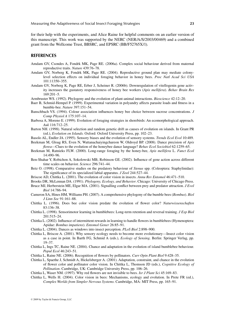<span id="page-15-0"></span>for their help with the experiments, and Alice Raine for helpful comments on an earlier version of this manuscript. This work was supported by the NERC (NER/A/S/2003/00469) and a combined grant from the Wellcome Trust, BBSRC, and EPSRC (BB/F52765X/1).

## **REFERENCES**

- Amdam GV, Csondes A, Fondrk MK, Page RE. (2006a). Complex social behaviour derived from maternal reproductive traits. *Nature* 439:76–78.
- Amdam GV, Norberg K, Fondrk MK, Page RE. (2004). Reproductive ground plan may mediate colonylevel selection effects on individual foraging behavior in honey bees. *Proc Natl Acad Sci USA*  101:11350–355.
- Amdam GV, Norberg K, Page RE, Erber J, Scheiner R. (2006b). Downregulation of vitellogenin gene activity increases the gustatory responsiveness of honey bee workers (*Apis mellifera*). *Behav Brain Res* 169:201–5.
- Armbruster WS. (1992). Phylogeny and the evolution of plant-animal interactions. *Bioscience* 42:12–20.
- Baer B, Schmid-Hempel P. (1999). Experimental variation in polyandry affects parasite loads and fitness in a bumble-bee. *Nature* 397:151–54.
- Banschbach VS. (1994). Colour association influences honey bee choice between sucrose concentrations. *J Comp Physiol A* 175:107–14.
- Barbosa A, Moreno E. (1999). Evolution of foraging strategies in shorebirds: An ecomorphological approach. *Auk* 116:712–25.
- Barton NH. (1998). Natural selection and random genetic drift as causes of evolution on islands. In Grant PR (ed.), *Evolution on Islands.* Oxford: Oxford University Press, pp. 102–23.
- Basolo AL, Endler JA. (1995). Sensory biases and the evolution of sensory systems. *Trends Ecol Evol* 10:489.
- Beekman M, Gloag RS, Even N, Wattanachaiyingchareon W, Oldroyd BP. (2008). Dance precision of *Apis florea*—Clues to the evolution of the honeybee dance language? *Behav Ecol Sociobiol* 62:1259–65.
- Beekman M, Ratnieks FLW. (2000). Long-range foraging by the honey-bee, *Apis mellifera* L. *Funct Ecol* 14:490–96.
- Ben-Shahar Y, Robichon A, Sokolowski MB, Robinson GE. (2002). Influence of gene action across different time scales on behavior. *Science* 296:741–44.
- Betz O. (1998). Comparative studies on the predatory behaviour of *Stenus* spp. (Coleoptera: Staphylinidae): The significance of its specialized labial apparatus. *J Zool* 244:527–44.
- Briscoe AD, Chittka L. (2001). The evolution of color vision in insects. *Annu Rev Entomol* 46:471–510.
- Brooks DR, McLennan DA. (1991). *Phylogeny, Ecology, and Behavior*. Chicago: University of Chicago Press.
- Bruce MJ, Herberstein ME, Elgar MA. (2001). Signalling conflict between prey and predator attraction. *J Evol Biol* 14:786–94.
- Cameron SA, Hines HM, Williams PH. (2007). A comprehensive phylogeny of the bumble bees (*Bombus*). *Biol J Linn Soc* 91:161–88.
- Chittka L. (1996). Does bee color vision predate the evolution of flower color? *Naturwissenschaften* 83:136–38.
- Chittka L. (1998). Sensorimotor learning in bumblebees: Long-term retention and reversal training. *J Exp Biol* 201:515–24.
- Chittka L. (2002). Influence of intermittent rewards in learning to handle flowers in bumblebees (Hymenoptera: Apidae: *Bombus impatiens*). *Entomol Gener* 26:85–91.
- Chittka L. (2004). Dances as windows into insect perception. *PLoS Biol* 2:898–900.
- Chittka L, Briscoe A. (2001). Why sensory ecology needs to become more evolutionary—Insect color vision as a case in point. In Barth FG, Schmid A (eds.), *Ecology of Sensing*. Berlin: Springer Verlag, pp. 19–37.
- Chittka L, Ings TC, Raine NE. (2004). Chance and adaptation in the evolution of island bumblebee behaviour. *Popul Ecol* 46:243–51.
- Chittka L, Raine NE. (2006). Recognition of flowers by pollinators. *Curr Opin Plant Biol* 9:428–35.
- Chittka L, Spaethe J, Schmidt A, Hickelsberger A. (2001). Adaptation, constraint, and chance in the evolution of flower color and pollinator color vision. In Chittka L, Thomson JD (eds.), *Cognitive Ecology of Pollination*. Cambridge, UK: Cambridge University Press, pp. 106–26.
- Chittka L, Waser NM. (1997). Why red flowers are not invisible to bees. *Isr J Plant Sci* 45:169–83.
- Chittka L, Wells H. (2004). Color vision in bees: Mechanisms, ecology and evolution. In Prete FR (ed.), *Complex Worlds from Simpler Nervous Systems*. Cambridge, MA: MIT Press, pp. 165–91.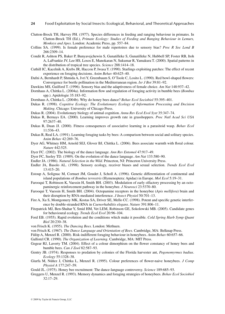Clutton-Brock TH, Harvey PH. (1977). Species differences in feeding and ranging behaviour in primates. In Clutton-Brock TH (Ed.), *Primate Ecology: Studies of Feeding and Ranging Behaviour in Lemurs, Monkeys and Apes*. London: Academic Press, pp. 557–84.

Collins SA. (1999). Is female preference for male repertoires due to sensory bias? *Proc R Soc Lond B* 266:2309–14.

Condit R, Ashton PS, Baker P, Bunyavejchewin S, Gunatilleke S, Gunatilleke N, Hubbell SP, Foster RB, Itoh A, LaFrankie JV, Lee HS, Losos E, Manokaran N, Sukumar R, Yamakura T. (2000). Spatial patterns in the distribution of tropical tree species. *Science* 288:1414–18.

Cuthill IC, Kacelnik A, Krebs JR, Haccou P, Iwasa Y. (1990). Starlings exploiting patches: The effect of recent experience on foraging decisions. *Anim Behav* 40:625–40.

Dafni A, Bernhardt P, Shmida A, Ivri Y, Greenbaum S, O'Toole C, Losito L. (1990). Red bowl-shaped flowers: Convergence for beetle pollination in the Mediterranean region. *Isr J Bot* 39:81–92.

Dawkins MS, Guilford T. (1996). Sensory bias and the adaptiveness of female choice. *Am Nat* 148:937–42.

Dornhaus A, Chittka L. (2004a). Information flow and regulation of foraging activity in bumble bees (*Bombus*  spp.). Apidologie 35:183–92.

Dornhaus A, Chittka L. (2004b). Why do honey bees dance? *Behav Ecol Sociobiol* 55:395–401.

Dukas R. (1998). *Cognitive Ecology: The Evolutionary Ecology of Information Processing and Decision Making*. Chicago: University of Chicago Press.

Dukas R. (2004). Evolutionary biology of animal cognition. *Annu Rev Ecol Evol Syst* 35:347–74.

- Dukas R, Bernays EA. (2000). Learning improves growth rate in grasshoppers. *Proc Natl Acad Sci USA* 97:2637–40.
- Dukas R, Duan JJ. (2000). Fitness consequences of associative learning in a parasitoid wasp. *Behav Ecol* 11:536–43.
- Dukas R, Real LA. (1991). Learning foraging tasks by bees: A comparison between social and solitary species. *Anim Behav* 42:269–76.
- Dyer AG, Whitney HM, Arnold SEJ, Glover BJ, Chittka L. (2006). Bees associate warmth with floral colour. *Nature* 442:525.
- Dyer FC. (2002). The biology of the dance language. *Ann Rev Entomol* 47:917–49.

Dyer FC, Seeley TD. (1989). On the evolution of the dance language. *Am Nat* 133:580–90.

Endler JA. (1986). *Natural Selection in the Wild*. Princeton, NJ: Princeton University Press.

- Endler JA, Basolo AL. (1998). Sensory ecology, receiver biases and sexual selection. *Trends Ecol Evol* 13:415–20.
- Estoup A, Solignac M, Cornuet JM, Goudet J, Scholl A. (1996). Genetic differentiation of continental and island populations of *Bombus terrestris* (Hymenoptera: Apidae) in Europe. *Mol Ecol* 5:19–31.
- Farooqui T, Robinson K, Vaessin H, Smith BH. (2003). Modulation of early olfactory processing by an octopaminergic reinforcement pathway in the honeybee. *J Neurosci* 23:5370–80.
- Farooqui T, Vaessin H, Smith BH. (2004). Octopamine receptors in the honeybee (*Apis mellifera*) brain and their disruption by RNA-mediated interference. *J Insect Physiol* 50:701–13.
- Fire A, Xu S, Montgomery MK, Kostas SA, Driver SE, Mello CC. (1998). Potent and specific genetic interference by double-stranded RNA in *Caenorhabditis elegans*. *Nature* 391:806–11.
- Fitzpatrick MJ, Ben-Shahar Y, Smid HM, Vet LEM, Robinson GE, Sokolowski MB. (2005). Candidate genes for behavioural ecology. *Trends Ecol Evol* 20:96–104.
- Ford EB. (1955). Rapid evolution and the conditions which make it possible. *Cold Spring Harb Symp Quant Biol* 20:230–38.
- von Frisch K. (1955). *The Dancing Bees*. London: Methuen.
- von Frisch K. (1967). *The Dance Language and Orientation of Bees*. Cambridge, MA: Belknap Press.

Fülöp A, Menzel R. (2000). Risk-indifferent foraging behaviour in honeybees. *Anim Behav* 60:657–66.

- Gallistel CR. (1990). *The Organization of Learning*. Cambridge, MA: MIT Press.
- Gegear RJ, Laverty TM. (2004). Effect of a colour dimorphism on the flower constancy of honey bees and bumble bees. *Can J Zool* 82:587–93.
- Gentry JB. (1974). Responses to predation by colonies of the Florida harvester ant, *Pogonomyrmex badius*. *Ecology* 55:1328–38.
- Giurfa M, Núñez J, Chittka L, Menzel R. (1995). Colour preferences of flower-naive honeybees. *J Comp Physiol A* 177:247–59.
- Gould JL. (1975). Honey bee recruitment: The dance-language controversy. *Science* 189:685–93.
- Greggers U, Menzel R. (1993). Memory dynamics and foraging strategies of honeybees. *Behav Ecol Sociobiol* 32:17–29.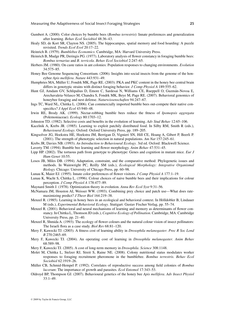- Gumbert A. (2000). Color choices by bumble bees (*Bombus terrestris*): Innate preferences and generalization after learning. *Behav Ecol Sociobiol* 48:36–43.
- Healy SD, de Kort SR, Clayton NS. (2005). The hippocampus, spatial memory and food hoarding: A puzzle revisited. *Trends Ecol Evol* 20:17–22.
- Heinrich B. (1979). *Bumblebee Economics*. Cambridge, MA: Harvard University Press.
- Heinrich B, Mudge PR, Deringis PG. (1977). Laboratory analysis of flower constancy in foraging bumble bees: *Bombus ternarius* and *B. terricola*. *Behav Ecol Sociobiol* 2:247–65.
- Herbers JM. (1980). On caste ratios in ant colonies: Population responses to changing environments. *Evolution* 34:575–85.
- Honey Bee Genome Sequencing Consortium. (2006). Insights into social insects from the genome of the honeybee *Apis mellifera*. *Nature* 443:931–49.
- Humphries MA, Müller U, Fondrk MK, Page RE. (2003). PKA and PKC content in the honey bee central brain differs in genotypic strains with distinct foraging behavior. *J Comp Physiol A* 189:555–62.
- Hunt GJ, Amdam GV, Schlipalius D, Emore C, Sardesai N, Williams CE, Rueppell O, Guzmán-Novoa E, Arechavaleta-Velasco M, Chandra S, Fondrk MK, Beye M, Page RE. (2007). Behavioral genomics of honeybee foraging and nest defense. *Naturwissenschaften* 94:247–67.
- Ings TC, Ward NL, Chittka L. (2006). Can commercially imported bumble bees out-compete their native conspecifics? *J Appl Ecol* 43:940–48.
- Irwin RE, Brody AK. (1999). Nectar-robbing bumble bees reduce the fitness of *Ipomopsis aggregata* (Polemoniaceae). *Ecology* 80:1703–12.
- Johnston TD. (1982). Selective costs and benefits in the evolution of learning. *Adv Stud Behav* 12:65–106.
- Kacelnik A, Krebs JR. (1985). Learning to exploit patchily distributed food. In Silby RM, Smith R (eds.), *Behavioural Ecology*. Oxford: Oxford University Press, pp. 189–205.
- Kingsolver JG, Hoekstra HE, Hoekstra JM, Berrigan D, Vignieri SN, Hill CE, Hoang A, Gibert P, Beerli P. (2001). The strength of phenotypic selection in natural populations. *Am Nat* 157:245–61.
- Krebs JR, Davies NB. (1993). *An Introduction to Behavioural Ecology*. 3rd ed. Oxford: Blackwell Science.
- Laverty TM. (1994). Bumble bee learning and flower morphology. *Anim Behav* 47:531–45.
- Lipp HP. (2002). The tortuous path from genotype to phenotype: Genes and cognition in mutant mice. *Eur J Hum Genet* 10:55.
- Losos JB, Miles DB. (1994). Adaptation, constraint, and the comparative method: Phylogenetic issues and methods. In Wainwright PC, Reilly SM (eds.), *Ecological Morphology: Integrative Organismal Biology.* Chicago: University of Chicago Press, pp. 60–98.
- Lunau K, Maier EJ. (1995). Innate color preferences of flower visitors. *J Comp Physiol A* 177:1–19.
- Lunau K, Wacht S, Chittka L. (1996). Colour choices of naive bumble bees and their implications for colour perception. *J Comp Physiol A* 178:477–89.
- Maynard Smith J. (1978). Optimization theory in evolution. *Annu Rev Ecol Syst* 9:31–56.
- McNamara JM, Houston AI, Weisser WW. (1993). Combining prey choice and patch use—What does ratemaximizing predict? *J Theor Biol* 164:219–38.
- Menzel R. (1985). Learning in honey bees in an ecological and behavioral context. In Hölldobler B, Lindauer M (eds.), *Experimental Behavioral Ecology*. Stuttgart: Gustav Fischer Verlag, pp. 55–74.
- Menzel R. (2001). Behavioral and neural mechanisms of learning and memory as determinants of flower constancy. In Chittka L, Thomson JD (eds.), *Cognitive Ecology of Pollination*. Cambridge, MA: Cambridge University Press, pp. 21–40.
- Menzel R, Shmida A. (1993). The ecology of flower colours and the natural colour vision of insect pollinators: The Israeli flora as a case study. *Biol Rev* 68:81–120.
- Mery F, Kawecki TJ. (2003). A fitness cost of learning ability in *Drosophila melanogaster*. *Proc R Soc Lond B* 270:2465–69.
- Mery F, Kawecki TJ. (2004). An operating cost of learning in *Drosophila melanogaster*. *Anim Behav* 68:589–98.
- Mery F, Kawecki TJ. (2005). A cost of long-term memory in *Drosophila*. *Science* 308:1148.
- Molet M, Chittka L, Stelzer RJ, Streit S, Raine NE. (2008). Colony nutritional status modulates worker responses to foraging recruitment pheromone in the bumblebee. *Bombus terrestris. Behav Ecol Sociobiol* 62:1919–26.
- Müller CB, Schmid-Hempel P. (1992). Correlates of reproductive success among field colonies of *Bombus lucorum*: The importance of growth and parasites. *Ecol Entomol* 17:343–53.
- Oldroyd BP, Thompson GJ. (2007). Behavioural genetics of the honey bee *Apis mellifera*. *Adv Insect Physiol* 33:1–49.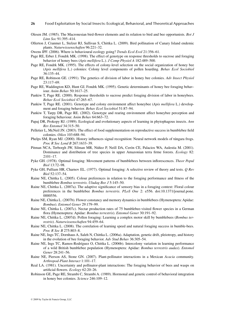- Olesen JM. (1985). The Macronesian bird-flower elements and its relation to bird and bee opportunists. *Bot J Linn Soc* 91:395–414.
- Ollerton J, Cranmer L, Stelzer RJ, Sullivan S, Chittka L. (2009). Bird pollination of Canary Island endemic plants. *Naturwissenschaften* 96:221–32.
- Owens IPF. (2006). Where is behavioural ecology going? *Trends Ecol Evol* 21:356–61.
- Page RE, Erber J, Fondrk MK. (1998). The effect of genotype on response thresholds to sucrose and foraging behavior of honey bees (*Apis mellifera* L.). *J Comp Physiol A* 182:489–500.
- Page RE, Fondrk MK. (1995). The effects of colony-level selection on the social organization of honey bee (*Apis mellifera* L.) colonies: Colony level components of pollen hoarding. *Behav Ecol Sociobiol* 36:135–44.
- Page RE, Robinson GE. (1991). The genetics of division of labor in honey bee colonies. *Adv Insect Physiol* 23:117–69.
- Page RE, Waddington KD, Hunt GJ, Fondrk MK. (1995). Genetic determinants of honey bee foraging behaviour. *Anim Behav* 50:1617–25.
- Pankiw T, Page RE. (2000). Response thresholds to sucrose predict foraging division of labor in honeybees. *Behav Ecol Sociobiol* 47:265–67.
- Pankiw T, Page RE. (2001). Genotype and colony environment affect honeybee (*Apis mellifera* L.) development and foraging behavior. *Behav Ecol Sociobiol* 51:87–94.
- Pankiw T, Tarpy DR, Page RE. (2002). Genotype and rearing environment affect honeybee perception and foraging behaviour. *Anim Behav* 64:663–72.
- Papaj DR, Prokopy RJ. (1989). Ecological and evolutionary aspects of learning in phytophagous insects. *Ann Rev Entomol* 34:315–50.
- Pelletier L, McNeil JN. (2003). The effect of food supplementation on reproductive success in bumblebee field colonies. *Oikos* 103:688–94.
- Phelps SM, Ryan MJ. (2000). History influences signal recognition: Neural network models of túngara frogs. *Proc R Soc Lond B* 267:1633–39.
- Pitman NCA, Terborgh JW, Silman MR, Núñez P, Neill DA, Cerón CE, Palacios WA, Aulestia M. (2001). Dominance and distribution of tree species in upper Amazonian terra firme forests. *Ecology* 82: 2101–17.
- Pyke GH. (1978). Optimal foraging: Movement patterns of bumblebees between inflorescences. *Theor Popul Biol* 13:72–98.
- Pyke GH, Pulliam HR, Charnov EL. (1977). Optimal foraging: A selective review of theory and tests. *Q Rev Biol* 52:137–54.
- Raine NE, Chittka L. (2005). Colour preferences in relation to the foraging performance and fitness of the bumblebee *Bombus terrestris*. *Uludag Bee J* 5:145–50.
- Raine NE, Chittka L. (2007a). The adaptive significance of sensory bias in a foraging context: Floral colour preferences in the bumblebee *Bombus terrestris*. *PLoS One* 2: e556. doi:10.1371/journal.pone. 0000556.
- Raine NE, Chittka L. (2007b). Flower constancy and memory dynamics in bumblebees (Hymenoptera: Apidae: *Bombus*). *Entomol Gener* 29:179–99.
- Raine NE, Chittka L. (2007c). Nectar production rates of 75 bumblebee-visited flower species in a German flora (Hymenoptera: Apidae: *Bombus terrestris*). *Entomol Gener* 30:191–92.
- Raine NE, Chittka L. (2007d). Pollen foraging: Learning a complex motor skill by bumblebees (*Bombus terrestris*). *Naturwissenschaften* 94:459–64.
- Raine NE, Chittka L. (2008). The correlation of learning speed and natural foraging success in bumble-bees. *Proc R Soc B* 275:803–8.
- Raine NE, Ings TC, Dornhaus A, Saleh N, Chittka L. (2006a). Adaptation, genetic drift, pleiotropy, and history in the evolution of bee foraging behavior. *Adv Stud Behav* 36:305–54.
- Raine NE, Ings TC, Ramos-Rodríguez O, Chittka L. (2006b). Intercolony variation in learning performance of a wild British bumblebee population (Hymenoptera: Apidae: *Bombus terrestris audax*). *Entomol Gener* 28:241–56.
- Raine NE, Pierson AS, Stone GN. (2007). Plant-pollinator interactions in a Mexican *Acacia* community. *Arthropod-Plant Interact* 1:101–17.
- Real LA. (1981). Uncertainty and pollinator-plant interactions: The foraging behavior of bees and wasps on artificial flowers. *Ecology* 62:20–26.
- Robinson GE, Page RE, Strambi C, Strambi A. (1989). Hormonal and genetic control of behavioral integration in honey bee colonies. *Science* 246:109–12.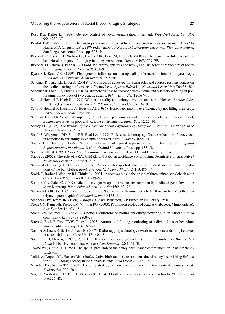- Ross KG, Keller L. (1998). Genetic control of social organization in an ant. *Proc Natl Acad Sci USA* 95:14232–37.
- Roubik DW. (1992). Loose niches in tropical communities: Why are there so few bees and so many trees? In Hunter MD, Ohgushi T, Price PW (eds.), *Effects of Resource Distribution on Animal-Plant Interactions*. San Diego: Academic Press, pp. 327–54.
- Rueppell O, Pankiw T, Nielsen DI, Fondrk MK, Beye M, Page RE. (2004a). The genetic architecture of the behavioral ontogeny of foraging in honeybee workers. *Genetics* 167:1767–79.
- Rueppell O, Pankiw T, Page RE. (2004b). Pleiotropy, epistasis and new QTL: The genetic architecture of honey bee foraging behavior. *J Hered* 95:481–91.
- Ryan MJ, Rand AS. (1999). Phylogenetic influence on mating call preferences in female túngara frogs, *Physalaemus pustulosus. Anim Behav* 57:945–56.
- Scheiner R, Page RE, Erber J. (2001a). The effects of genotype, foraging role, and sucrose responsiveness on the tactile learning performance of honey bees (*Apis mellifera* L.). *Neurobiol Learn Mem* 76:138–50.
- Scheiner R, Page RE, Erber J. (2001b). Responsiveness to sucrose affects tactile and olfactory learning in preforaging honey bees of two genetic strains. *Behav Brain Res* 120:67–73.
- Schmid-Hempel P, Heeb D. (1991). Worker mortality and colony development in bumblebees, *Bombus lucorum* (L.) (Hymenoptera, Apidae). *Mitt Schweiz Entomol Ges* 64:93–108.
- Schmid-Hempel P, Kacelnik A, Houston AI. (1985). Honeybees maximize efficiency by not filling their crop. *Behav Ecol Sociobiol* 17:61–66.
- Schmid-Hempel R, Schmid-Hempel P. (1998). Colony performance and immunocompetence of a social insect, *Bombus terrestris*, in poor and variable environments. *Funct Ecol* 12:22–30.
- Seeley TD. (1995). *The Wisdom of the Hive: The Social Physiology of Honey Bee Colonies*. Cambridge, MA: Harvard University Press.
- Shafir S, Wiegmann DD, Smith BH, Real LA. (1999). Risk-sensitive foraging: Choice behaviour of honeybees in response to variability in volume of reward. *Anim Behav* 57:1055–61.
- Sherry DF, Healy S. (1998). Neural mechanisms of spatial representation. In Healy S (ed.), *Spatial Representations in Animals.* Oxford: Oxford University Press, pp. 133–58.
- Shettleworth SJ. (1998). *Cognition, Evolution, and Behavior*. Oxford: Oxford University Press.
- Shobe J. (2002). The role of PKA, CaMKII and PKC in avoidance conditioning: Permissive or instructive? *Neurobiol Learn Mem* 77:291–312.
- Skorupski P, Döring TF, Chittka L. (2007). Photoreceptor spectral sensitivity in island and mainland populations of the bumblebee, *Bombus terrestris*. *J Comp Physiol A* 193:485–94.
- Smith C, Barber I, Wootton RJ, Chittka L. (2004). A receiver bias in the origin of three-spined stickleback mate choice. *Proc R Soc Lond B* 271:949–55.
- Stanton ML, Galen C. (1997). Life on the edge: Adaptation versus environmentally mediated gene flow in the snow buttercup, *Ranunculus adoneus*. *Am Nat* 150:143–78.
- Stelzer RJ, Ollerton J, Chittka L. (2007). Keine Nachweis für Hummelbesuch der Kanarischen Vogelblumen (Hymenoptera: Apidae). *Entomol Gener* 30:153–54.
- Stephens DW, Krebs JR. (1986). *Foraging Theory*. Princeton, NJ: Princeton University Press.
- Stone GN, Raine NE, Prescott M, Willmer PG. (2003). Pollination ecology of acacias (Fabaceae, Mimosoideae). *Aust Syst Bot* 16:103–18.
- Stone GN, Willmer PG, Rowe JA. (1998). Partitioning of pollinators during flowering in an African *Acacia* community. *Ecology* 79:2808–27.
- Streit S, Bock F, Pirk CWW, Tautz J. (2003). Automatic life-long monitoring of individual insect behaviour now possible. *Zoology* 106:169–71.
- Sumner S, Lucas E, Barker J, Isaac N. (2007). Radio-tagging technology reveals extreme nest-drifting behavior in a eusocial insect. *Curr Biol* 17:140–45.
- Sutcliffe GH, Plowright RC. (1988). The effects of food supply on adult size in the bumble bee *Bombus terricola* Kirby (Hymenoptera: Apidae). *Can Entomol* 120:1051–58.
- Towne WF, Gould JL. (1988). The spatial precision of the honey bees' dance communication. *J Insect Behav* 1:129–55.
- Valido A, Dupont YL, Hansen DM. (2002). Native birds and insects, and introduced honey bees visiting *Echium wildpretii* (Boraginaceae) in the Canary Islands. *Acta Oecol* 23:413–19.
- Visscher PK, Seeley TD. (1982). Foraging strategy of honeybee colonies in a temperate deciduous forest. *Ecology* 63:1790–801.
- Vogel S, Westerkamp C, Thiel B, Gessner K. (1984). Ornithophilie auf den Canarischen Inseln. *Plant Syst Evol* 146:225–48.